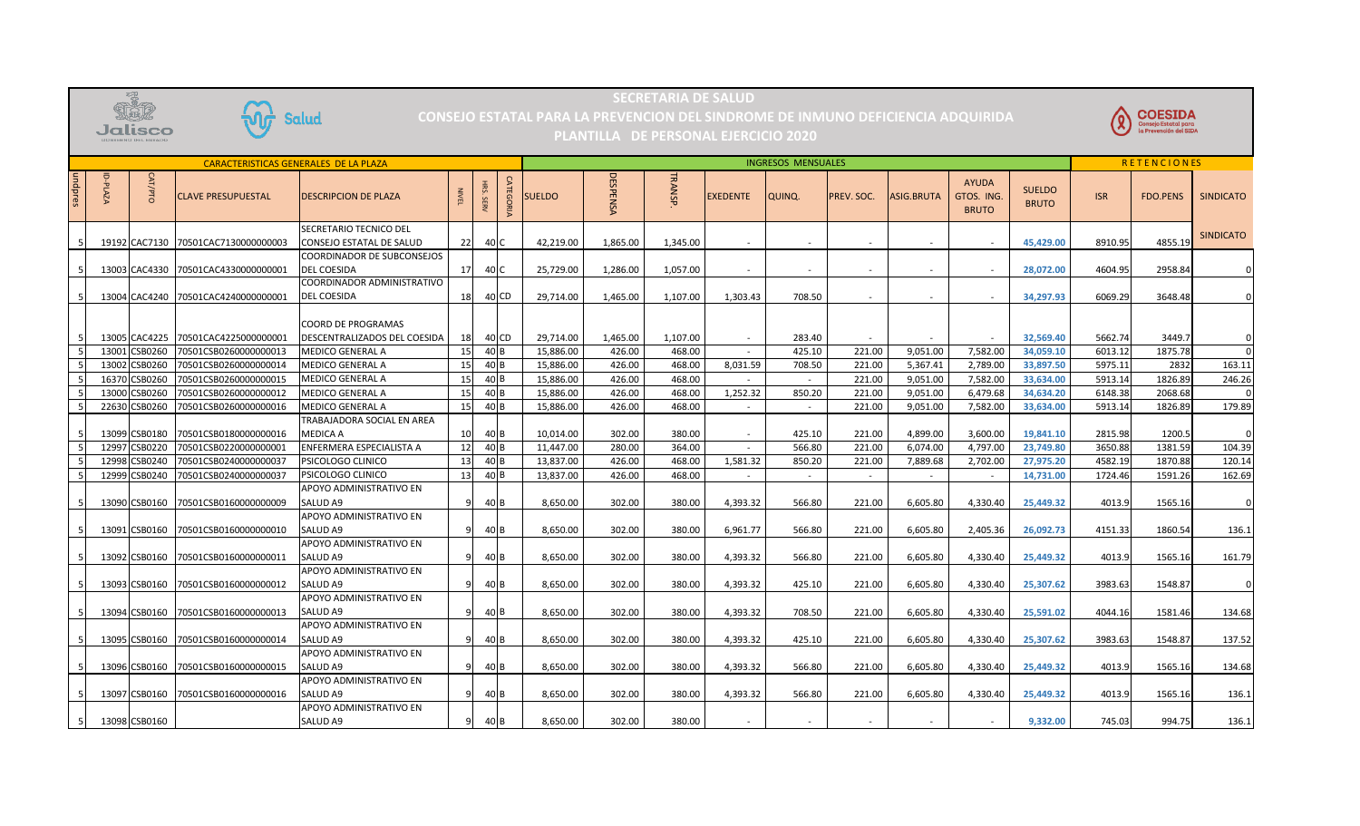

## SECRETARIA DE SALUD **SECRETARIA DE SALUD**

CONSEJO ESTATAL PARA LA PREVENC ION DEL SINDROME DE INMUNO DEFICIENCIA ADQUIRIDA  **CONSEJO ESTATAL PARA LA PREVENCION DEL SINDROME DE INMUNO DEFICIENCIA ADQUIRIDA** 



## **PLANTILLA DE PERSONAL EJERCICIO 2020**

| <b>CARACTERISTICAS GENERALES DE LA PLAZA</b> |                   |               |                           |                                                    |              |        |                  |               | <b>INGRESOS MENSUALES</b> |                |                 |        |            |                   |                                            |                               |            | <b>RETENCIONES</b> |                  |  |
|----------------------------------------------|-------------------|---------------|---------------------------|----------------------------------------------------|--------------|--------|------------------|---------------|---------------------------|----------------|-----------------|--------|------------|-------------------|--------------------------------------------|-------------------------------|------------|--------------------|------------------|--|
| undpres                                      | ਰ<br><b>PLAZA</b> | CAT/PTO       | <b>CLAVE PRESUPUESTAL</b> | <b>DESCRIPCION DE PLAZA</b>                        | <b>NIVEI</b> | . SERV | <b>CATEGORIA</b> | <b>SUELDO</b> | <b>DESPENSA</b>           | <b>TRANSP.</b> | <b>EXEDENTE</b> | QUINQ. | PREV. SOC. | <b>ASIG.BRUTA</b> | <b>AYUDA</b><br>GTOS. ING.<br><b>BRUTO</b> | <b>SUELDO</b><br><b>BRUTO</b> | <b>ISR</b> | <b>FDO.PENS</b>    | <b>SINDICATO</b> |  |
|                                              |                   |               |                           | SECRETARIO TECNICO DEL                             |              |        |                  |               |                           |                |                 |        |            |                   |                                            |                               |            |                    | <b>SINDICATO</b> |  |
|                                              |                   | 19192 CAC7130 | 70501CAC7130000000003     | CONSEJO ESTATAL DE SALUD                           | 22           |        | 40 C             | 42.219.00     | 1.865.00                  | 1.345.00       |                 |        |            |                   | $\sim$                                     | 45,429.00                     | 8910.95    | 4855.19            |                  |  |
|                                              |                   |               |                           | COORDINADOR DE SUBCONSEJOS                         |              |        |                  |               |                           |                |                 |        |            |                   |                                            |                               |            |                    |                  |  |
| -5                                           |                   | 13003 CAC4330 | 70501CAC4330000000001     | <b>DEL COESIDA</b>                                 | 17           | 40 C   |                  | 25,729.00     | 1,286.00                  | 1,057.00       |                 | $\sim$ | $\sim$     | $\sim$            | $\sim$                                     | 28,072.00                     | 4604.95    | 2958.84            | 0                |  |
|                                              |                   |               |                           | COORDINADOR ADMINISTRATIVO                         |              |        |                  |               |                           |                |                 |        |            |                   |                                            |                               |            |                    |                  |  |
|                                              |                   | 13004 CAC4240 | 70501CAC4240000000001     | <b>DEL COESIDA</b>                                 | 18           |        | 40 CD            | 29,714.00     | 1,465.00                  | 1,107.00       | 1,303.43        | 708.50 |            |                   | $\sim$                                     | 34,297.93                     | 6069.29    | 3648.48            |                  |  |
|                                              |                   | 13005 CAC4225 | 70501CAC4225000000001     | COORD DE PROGRAMAS<br>DESCENTRALIZADOS DEL COESIDA | 18           |        | 40 CD            | 29.714.00     | 1,465.00                  | 1.107.00       |                 | 283.40 |            |                   | $\sim$                                     | 32.569.40                     | 5662.74    | 3449.7             | 0                |  |
|                                              |                   | 13001 CSB0260 | 70501CSB0260000000013     | MEDICO GENERAL A                                   | 15           |        | 40 B             | 15,886.00     | 426.00                    | 468.00         |                 | 425.10 | 221.00     | 9,051.00          | 7,582.00                                   | 34,059.10                     | 6013.12    | 1875.78            | 0                |  |
|                                              |                   | 13002 CSB0260 | 70501CSB0260000000014     | <b>MEDICO GENERAL A</b>                            | 15           |        | 40 B             | 15,886.00     | 426.00                    | 468.00         | 8,031.59        | 708.50 | 221.00     | 5.367.41          | 2,789.00                                   | 33,897.50                     | 5975.11    | 2832               | 163.11           |  |
|                                              |                   | 16370 CSB0260 | 70501CSB0260000000015     | MEDICO GENERAL A                                   | 15           |        | 40 B             | 15,886.00     | 426.00                    | 468.00         |                 | $\sim$ | 221.00     | 9,051.00          | 7,582.00                                   | 33,634.00                     | 5913.14    | 1826.89            | 246.26           |  |
|                                              |                   | 13000 CSB0260 | 70501CSB0260000000012     | MEDICO GENERAL A                                   | 15           |        | 40 B             | 15,886.00     | 426.00                    | 468.00         | 1,252.32        | 850.20 | 221.00     | 9,051.00          | 6,479.68                                   | 34,634.20                     | 6148.38    | 2068.68            | $\Omega$         |  |
|                                              |                   | 22630 CSB0260 | 70501CSB0260000000016     | MEDICO GENERAL A                                   | 15           |        | 40 B             | 15,886.00     | 426.00                    | 468.00         | $\sim$          | $\sim$ | 221.00     | 9,051.00          | 7,582.00                                   | 33,634.00                     | 5913.14    | 1826.89            | 179.89           |  |
|                                              |                   |               |                           | TRABAJADORA SOCIAL EN AREA                         |              |        |                  |               |                           |                |                 |        |            |                   |                                            |                               |            |                    |                  |  |
|                                              |                   | 13099 CSB0180 | 70501CSB0180000000016     | MEDICA A                                           | 10           |        | 40 <sub>B</sub>  | 10,014.00     | 302.00                    | 380.00         |                 | 425.10 | 221.00     | 4,899.00          | 3,600.00                                   | 19,841.10                     | 2815.98    | 1200.5             | $\Omega$         |  |
|                                              |                   | 12997 CSB0220 | 70501CSB0220000000001     | ENFERMERA ESPECIALISTA A                           | 12           |        | 40 B             | 11,447.00     | 280.00                    | 364.00         | $\sim$          | 566.80 | 221.00     | 6,074.00          | 4,797.00                                   | 23,749.80                     | 3650.88    | 1381.59            | 104.39           |  |
|                                              |                   | 12998 CSB0240 | 70501CSB0240000000037     | PSICOLOGO CLINICO                                  | 13           |        | 40 B             | 13,837.00     | 426.00                    | 468.00         | 1,581.32        | 850.20 | 221.00     | 7,889.68          | 2,702.00                                   | 27,975.20                     | 4582.19    | 1870.88            | 120.14           |  |
|                                              |                   | 12999 CSB0240 | 70501CSB0240000000037     | PSICOLOGO CLINICO                                  | 13           |        | 40 B             | 13,837.00     | 426.00                    | 468.00         |                 |        | $\sim$     | $\sim$            | $\sim$                                     | 14,731.00                     | 1724.46    | 1591.26            | 162.69           |  |
|                                              |                   |               |                           | APOYO ADMINISTRATIVO EN                            |              |        |                  |               |                           |                |                 |        |            |                   |                                            |                               |            |                    |                  |  |
|                                              |                   | 13090 CSB0160 | 70501CSB0160000000009     | SALUD A9                                           |              |        | 40 B             | 8.650.00      | 302.00                    | 380.00         | 4,393.32        | 566.80 | 221.00     | 6.605.80          | 4.330.40                                   | 25.449.32                     | 4013.9     | 1565.16            | 0                |  |
|                                              |                   |               |                           | APOYO ADMINISTRATIVO EN                            |              |        |                  |               |                           |                |                 |        |            |                   |                                            |                               |            |                    |                  |  |
|                                              |                   | 13091 CSB0160 | 70501CSB0160000000010     | SALUD A9                                           | q            |        | 40 B             | 8.650.00      | 302.00                    | 380.00         | 6,961.77        | 566.80 | 221.00     | 6,605.80          | 2,405.36                                   | 26,092.73                     | 4151.33    | 1860.54            | 136.1            |  |
|                                              |                   |               |                           | APOYO ADMINISTRATIVO EN                            |              |        |                  |               |                           |                |                 |        |            |                   |                                            |                               |            |                    |                  |  |
|                                              |                   | 13092 CSB0160 | 70501CSB0160000000011     | SALUD A9                                           | q            |        | 40 B             | 8.650.00      | 302.00                    | 380.00         | 4.393.32        | 566.80 | 221.00     | 6,605.80          | 4.330.40                                   | 25,449.32                     | 4013.9     | 1565.16            | 161.79           |  |
|                                              |                   |               |                           | APOYO ADMINISTRATIVO EN                            |              |        |                  |               |                           |                |                 |        |            |                   |                                            |                               |            |                    |                  |  |
|                                              |                   | 13093 CSB0160 | 70501CSB0160000000012     | SALUD A9                                           |              |        | 40 B             | 8,650.00      | 302.00                    | 380.00         | 4,393.32        | 425.10 | 221.00     | 6,605.80          | 4,330.40                                   | 25,307.62                     | 3983.63    | 1548.87            | 0                |  |
|                                              |                   |               |                           | APOYO ADMINISTRATIVO EN                            |              |        |                  |               |                           |                |                 |        |            |                   |                                            |                               |            |                    |                  |  |
|                                              |                   | 13094 CSB0160 | 70501CSB0160000000013     | SALUD <sub>A9</sub>                                | <b>q</b>     |        | 40 B             | 8,650.00      | 302.00                    | 380.00         | 4,393.32        | 708.50 | 221.00     | 6,605.80          | 4,330.40                                   | 25,591.02                     | 4044.16    | 1581.46            | 134.68           |  |
|                                              |                   |               |                           | APOYO ADMINISTRATIVO EN                            |              |        |                  |               |                           |                |                 |        |            |                   |                                            |                               |            |                    |                  |  |
|                                              |                   | 13095 CSB0160 | 70501CSB0160000000014     | SALUD A9                                           |              |        | 40 B             | 8,650.00      | 302.00                    | 380.00         | 4,393.32        | 425.10 | 221.00     | 6,605.80          | 4,330.40                                   | 25,307.62                     | 3983.63    | 1548.87            | 137.52           |  |
|                                              |                   |               |                           | APOYO ADMINISTRATIVO EN                            |              |        |                  |               |                           |                |                 |        |            |                   |                                            |                               |            |                    |                  |  |
|                                              |                   | 13096 CSB0160 | 70501CSB0160000000015     | SALUD A9                                           | q            |        | 40 <sub>B</sub>  | 8,650.00      | 302.00                    | 380.00         | 4,393.32        | 566.80 | 221.00     | 6,605.80          | 4,330.40                                   | 25,449.32                     | 4013.9     | 1565.16            | 134.68           |  |
|                                              |                   |               |                           | APOYO ADMINISTRATIVO EN                            |              |        |                  |               |                           |                |                 |        |            |                   |                                            |                               |            |                    |                  |  |
|                                              |                   | 13097 CSB0160 | 70501CSB0160000000016     | SALUD A9                                           | q            |        | 40 B             | 8.650.00      | 302.00                    | 380.00         | 4,393.32        | 566.80 | 221.00     | 6,605.80          | 4,330.40                                   | 25,449.32                     | 4013.9     | 1565.16            | 136.1            |  |
|                                              |                   |               |                           | APOYO ADMINISTRATIVO EN                            |              |        |                  |               |                           |                |                 |        |            |                   |                                            |                               |            |                    |                  |  |
| -5                                           |                   | 13098 CSB0160 |                           | SALUD A9                                           |              |        | 40 B             | 8,650.00      | 302.00                    | 380.00         |                 |        |            |                   | $\sim$                                     | 9,332.00                      | 745.03     | 994.75             | 136.1            |  |